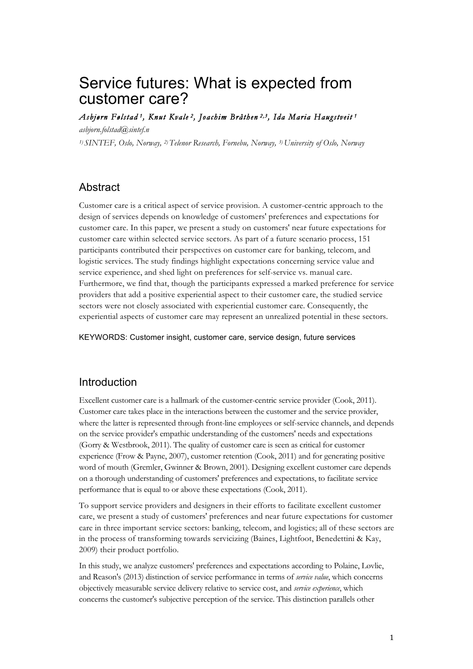# Service futures: What is expected from customer care?

*Asbjørn Følstad 1, Knut Kvale 2, Joachim Bråthen 2,3, Ida Maria Haugstveit 1* 

*asbjorn.folstad@sintef.n 1) SINTEF, Oslo, Norway, 2)Telenor Research, Fornebu, Norway, 3)University of Oslo, Norway*

# **Abstract**

Customer care is a critical aspect of service provision. A customer-centric approach to the design of services depends on knowledge of customers' preferences and expectations for customer care. In this paper, we present a study on customers' near future expectations for customer care within selected service sectors. As part of a future scenario process, 151 participants contributed their perspectives on customer care for banking, telecom, and logistic services. The study findings highlight expectations concerning service value and service experience, and shed light on preferences for self-service vs. manual care. Furthermore, we find that, though the participants expressed a marked preference for service providers that add a positive experiential aspect to their customer care, the studied service sectors were not closely associated with experiential customer care. Consequently, the experiential aspects of customer care may represent an unrealized potential in these sectors.

KEYWORDS: Customer insight, customer care, service design, future services

# Introduction

Excellent customer care is a hallmark of the customer-centric service provider (Cook, 2011). Customer care takes place in the interactions between the customer and the service provider, where the latter is represented through front-line employees or self-service channels, and depends on the service provider's empathic understanding of the customers' needs and expectations (Gorry & Westbrook, 2011). The quality of customer care is seen as critical for customer experience (Frow & Payne, 2007), customer retention (Cook, 2011) and for generating positive word of mouth (Gremler, Gwinner & Brown, 2001). Designing excellent customer care depends on a thorough understanding of customers' preferences and expectations, to facilitate service performance that is equal to or above these expectations (Cook, 2011).

To support service providers and designers in their efforts to facilitate excellent customer care, we present a study of customers' preferences and near future expectations for customer care in three important service sectors: banking, telecom, and logistics; all of these sectors are in the process of transforming towards servicizing (Baines, Lightfoot, Benedettini & Kay, 2009) their product portfolio.

In this study, we analyze customers' preferences and expectations according to Polaine, Løvlie, and Reason's (2013) distinction of service performance in terms of *service value*, which concerns objectively measurable service delivery relative to service cost, and *service experience*, which concerns the customer's subjective perception of the service. This distinction parallels other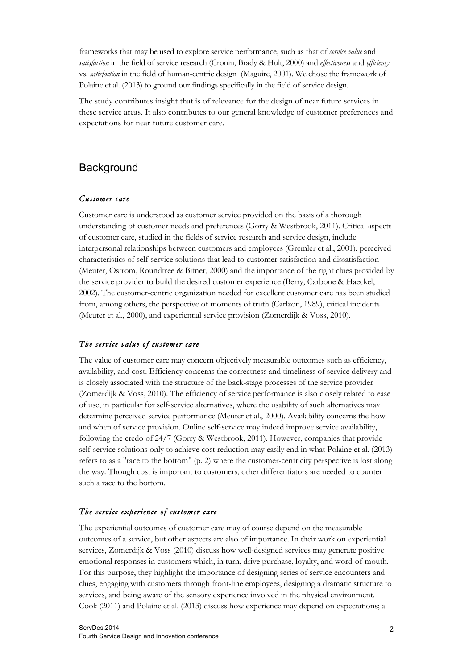frameworks that may be used to explore service performance, such as that of *service value* and *satisfaction* in the field of service research (Cronin, Brady & Hult, 2000) and *effectiveness* and *efficiency* vs. *satisfaction* in the field of human-centric design (Maguire, 2001). We chose the framework of Polaine et al. (2013) to ground our findings specifically in the field of service design.

The study contributes insight that is of relevance for the design of near future services in these service areas. It also contributes to our general knowledge of customer preferences and expectations for near future customer care.

# **Background**

## *Customer care*

Customer care is understood as customer service provided on the basis of a thorough understanding of customer needs and preferences (Gorry & Westbrook, 2011). Critical aspects of customer care, studied in the fields of service research and service design, include interpersonal relationships between customers and employees (Gremler et al., 2001), perceived characteristics of self-service solutions that lead to customer satisfaction and dissatisfaction (Meuter, Ostrom, Roundtree & Bitner, 2000) and the importance of the right clues provided by the service provider to build the desired customer experience (Berry, Carbone & Haeckel, 2002). The customer-centric organization needed for excellent customer care has been studied from, among others, the perspective of moments of truth (Carlzon, 1989), critical incidents (Meuter et al., 2000), and experiential service provision (Zomerdijk & Voss, 2010).

### *The service value of customer care*

The value of customer care may concern objectively measurable outcomes such as efficiency, availability, and cost. Efficiency concerns the correctness and timeliness of service delivery and is closely associated with the structure of the back-stage processes of the service provider (Zomerdijk & Voss, 2010). The efficiency of service performance is also closely related to ease of use, in particular for self-service alternatives, where the usability of such alternatives may determine perceived service performance (Meuter et al., 2000). Availability concerns the how and when of service provision. Online self-service may indeed improve service availability, following the credo of 24/7 (Gorry & Westbrook, 2011). However, companies that provide self-service solutions only to achieve cost reduction may easily end in what Polaine et al. (2013) refers to as a "race to the bottom" (p. 2) where the customer-centricity perspective is lost along the way. Though cost is important to customers, other differentiators are needed to counter such a race to the bottom.

## *The service experience of customer care*

The experiential outcomes of customer care may of course depend on the measurable outcomes of a service, but other aspects are also of importance. In their work on experiential services, Zomerdijk & Voss (2010) discuss how well-designed services may generate positive emotional responses in customers which, in turn, drive purchase, loyalty, and word-of-mouth. For this purpose, they highlight the importance of designing series of service encounters and clues, engaging with customers through front-line employees, designing a dramatic structure to services, and being aware of the sensory experience involved in the physical environment. Cook (2011) and Polaine et al. (2013) discuss how experience may depend on expectations; a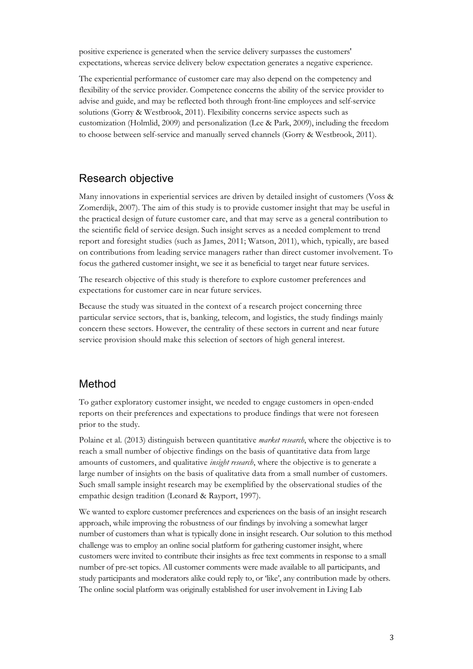positive experience is generated when the service delivery surpasses the customers' expectations, whereas service delivery below expectation generates a negative experience.

The experiential performance of customer care may also depend on the competency and flexibility of the service provider. Competence concerns the ability of the service provider to advise and guide, and may be reflected both through front-line employees and self-service solutions (Gorry & Westbrook, 2011). Flexibility concerns service aspects such as customization (Holmlid, 2009) and personalization (Lee & Park, 2009), including the freedom to choose between self-service and manually served channels (Gorry & Westbrook, 2011).

# Research objective

Many innovations in experiential services are driven by detailed insight of customers (Voss & Zomerdijk, 2007). The aim of this study is to provide customer insight that may be useful in the practical design of future customer care, and that may serve as a general contribution to the scientific field of service design. Such insight serves as a needed complement to trend report and foresight studies (such as James, 2011; Watson, 2011), which, typically, are based on contributions from leading service managers rather than direct customer involvement. To focus the gathered customer insight, we see it as beneficial to target near future services.

The research objective of this study is therefore to explore customer preferences and expectations for customer care in near future services.

Because the study was situated in the context of a research project concerning three particular service sectors, that is, banking, telecom, and logistics, the study findings mainly concern these sectors. However, the centrality of these sectors in current and near future service provision should make this selection of sectors of high general interest.

# Method

To gather exploratory customer insight, we needed to engage customers in open-ended reports on their preferences and expectations to produce findings that were not foreseen prior to the study.

Polaine et al. (2013) distinguish between quantitative *market research*, where the objective is to reach a small number of objective findings on the basis of quantitative data from large amounts of customers, and qualitative *insight research*, where the objective is to generate a large number of insights on the basis of qualitative data from a small number of customers. Such small sample insight research may be exemplified by the observational studies of the empathic design tradition (Leonard & Rayport, 1997).

We wanted to explore customer preferences and experiences on the basis of an insight research approach, while improving the robustness of our findings by involving a somewhat larger number of customers than what is typically done in insight research. Our solution to this method challenge was to employ an online social platform for gathering customer insight, where customers were invited to contribute their insights as free text comments in response to a small number of pre-set topics. All customer comments were made available to all participants, and study participants and moderators alike could reply to, or 'like', any contribution made by others. The online social platform was originally established for user involvement in Living Lab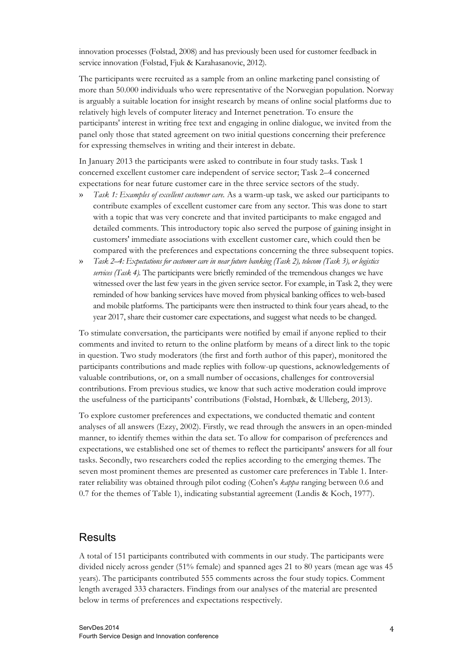innovation processes (Følstad, 2008) and has previously been used for customer feedback in service innovation (Følstad, Fjuk & Karahasanovic, 2012).

The participants were recruited as a sample from an online marketing panel consisting of more than 50.000 individuals who were representative of the Norwegian population. Norway is arguably a suitable location for insight research by means of online social platforms due to relatively high levels of computer literacy and Internet penetration. To ensure the participants' interest in writing free text and engaging in online dialogue, we invited from the panel only those that stated agreement on two initial questions concerning their preference for expressing themselves in writing and their interest in debate.

In January 2013 the participants were asked to contribute in four study tasks. Task 1 concerned excellent customer care independent of service sector; Task 2–4 concerned expectations for near future customer care in the three service sectors of the study.

- » *Task 1: Examples of excellent customer care.* As a warm-up task, we asked our participants to contribute examples of excellent customer care from any sector. This was done to start with a topic that was very concrete and that invited participants to make engaged and detailed comments. This introductory topic also served the purpose of gaining insight in customers' immediate associations with excellent customer care, which could then be compared with the preferences and expectations concerning the three subsequent topics.
- » *Task 2–4: Expectations for customer care in near future banking (Task 2), telecom (Task 3), or logistics services (Task 4).* The participants were briefly reminded of the tremendous changes we have witnessed over the last few years in the given service sector. For example, in Task 2, they were reminded of how banking services have moved from physical banking offices to web-based and mobile platforms. The participants were then instructed to think four years ahead, to the year 2017, share their customer care expectations, and suggest what needs to be changed.

To stimulate conversation, the participants were notified by email if anyone replied to their comments and invited to return to the online platform by means of a direct link to the topic in question. Two study moderators (the first and forth author of this paper), monitored the participants contributions and made replies with follow-up questions, acknowledgements of valuable contributions, or, on a small number of occasions, challenges for controversial contributions. From previous studies, we know that such active moderation could improve the usefulness of the participants' contributions (Følstad, Hornbæk, & Ulleberg, 2013).

To explore customer preferences and expectations, we conducted thematic and content analyses of all answers (Ezzy, 2002). Firstly, we read through the answers in an open-minded manner, to identify themes within the data set. To allow for comparison of preferences and expectations, we established one set of themes to reflect the participants' answers for all four tasks. Secondly, two researchers coded the replies according to the emerging themes. The seven most prominent themes are presented as customer care preferences in Table 1. Interrater reliability was obtained through pilot coding (Cohen's *kappa* ranging between 0.6 and 0.7 for the themes of Table 1), indicating substantial agreement (Landis & Koch, 1977).

# **Results**

A total of 151 participants contributed with comments in our study. The participants were divided nicely across gender (51% female) and spanned ages 21 to 80 years (mean age was 45 years). The participants contributed 555 comments across the four study topics. Comment length averaged 333 characters. Findings from our analyses of the material are presented below in terms of preferences and expectations respectively.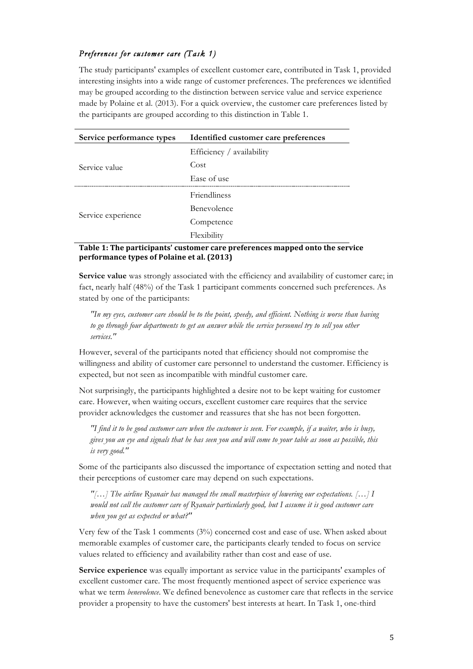## *Preferences for customer care (Task 1)*

The study participants' examples of excellent customer care, contributed in Task 1, provided interesting insights into a wide range of customer preferences. The preferences we identified may be grouped according to the distinction between service value and service experience made by Polaine et al. (2013). For a quick overview, the customer care preferences listed by the participants are grouped according to this distinction in Table 1.

| Service performance types | Identified customer care preferences |
|---------------------------|--------------------------------------|
| Service value             | Efficiency / availability            |
|                           | Cost                                 |
|                           | Ease of use                          |
| Service experience        | <b>Friendliness</b>                  |
|                           | Benevolence                          |
|                           | Competence                           |
|                           | Flexibility                          |

## Table 1: The participants' customer care preferences mapped onto the service **performance types of Polaine et al. (2013)**

**Service value** was strongly associated with the efficiency and availability of customer care; in fact, nearly half (48%) of the Task 1 participant comments concerned such preferences. As stated by one of the participants:

*"In my eyes, customer care should be to the point, speedy, and efficient. Nothing is worse than having to go through four departments to get an answer while the service personnel try to sell you other services."*

However, several of the participants noted that efficiency should not compromise the willingness and ability of customer care personnel to understand the customer. Efficiency is expected, but not seen as incompatible with mindful customer care.

Not surprisingly, the participants highlighted a desire not to be kept waiting for customer care. However, when waiting occurs, excellent customer care requires that the service provider acknowledges the customer and reassures that she has not been forgotten.

*"I find it to be good customer care when the customer is seen. For example, if a waiter, who is busy, gives you an eye and signals that he has seen you and will come to your table as soon as possible, this is very good."*

Some of the participants also discussed the importance of expectation setting and noted that their perceptions of customer care may depend on such expectations.

*"[…] The airline Ryanair has managed the small masterpiece of lowering our expectations. […] I would not call the customer care of Ryanair particularly good, but I assume it is good customer care when you get as expected or what?"*

Very few of the Task 1 comments (3%) concerned cost and ease of use. When asked about memorable examples of customer care, the participants clearly tended to focus on service values related to efficiency and availability rather than cost and ease of use.

**Service experience** was equally important as service value in the participants' examples of excellent customer care. The most frequently mentioned aspect of service experience was what we term *benevolence*. We defined benevolence as customer care that reflects in the service provider a propensity to have the customers' best interests at heart. In Task 1, one-third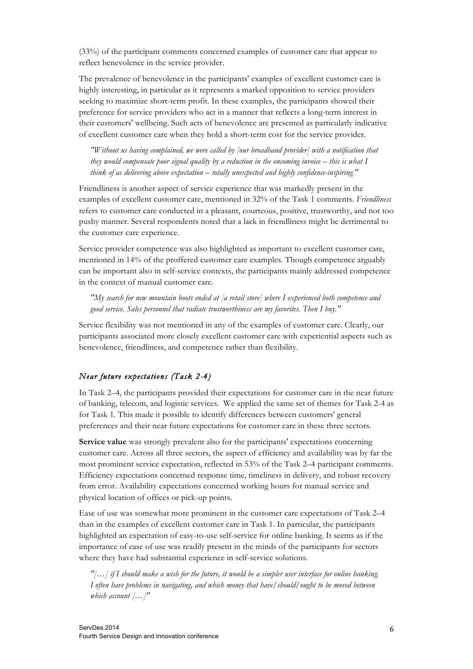(33%) of the participant comments concerned examples of customer care that appear to reflect benevolence in the service provider.

The prevalence of benevolence in the participants' examples of excellent customer care is highly interesting, in particular as it represents a marked opposition to service providers seeking to maximize short-term profit. In these examples, the participants showed their preference for service providers who act in a manner that reflects a long-term interest in their customers' wellbeing. Such acts of benevolence are presented as particularly indicative of excellent customer care when they hold a short-term cost for the service provider.

*"Without us having complained, we were called by [our broadband provider] with a notification that they would compensate poor signal quality by a reduction in the oncoming invoice – this is what I think of as delivering above expectation – totally unexpected and highly confidence-inspiring."*

Friendliness is another aspect of service experience that was markedly present in the examples of excellent customer care, mentioned in 32% of the Task 1 comments. *Friendliness*  refers to customer care conducted in a pleasant, courteous, positive, trustworthy, and not too pushy manner. Several respondents noted that a lack in friendliness might be detrimental to the customer care experience.

Service provider competence was also highlighted as important to excellent customer care, mentioned in 14% of the proffered customer care examples. Though competence arguably can be important also in self-service contexts, the participants mainly addressed competence in the context of manual customer care.

*"My search for new mountain boots ended at [a retail store] where I experienced both competence and good service. Sales personnel that radiate trustworthiness are my favorites. Then I buy."*

Service flexibility was not mentioned in any of the examples of customer care. Clearly, our participants associated more closely excellent customer care with experiential aspects such as benevolence, friendliness, and competence rather than flexibility.

## *Near future expectations (Task 2-4)*

In Task 2–4, the participants provided their expectations for customer care in the near future of banking, telecom, and logistic services. We applied the same set of themes for Task 2-4 as for Task 1. This made it possible to identify differences between customers' general preferences and their near future expectations for customer care in these three sectors.

**Service value** was strongly prevalent also for the participants' expectations concerning customer care. Across all three sectors, the aspect of efficiency and availability was by far the most prominent service expectation, reflected in 53% of the Task 2–4 participant comments. Efficiency expectations concerned response time, timeliness in delivery, and robust recovery from error. Availability expectations concerned working hours for manual service and physical location of offices or pick-up points.

Ease of use was somewhat more prominent in the customer care expectations of Task 2–4 than in the examples of excellent customer care in Task 1. In particular, the participants highlighted an expectation of easy-to-use self-service for online banking. It seems as if the importance of ease of use was readily present in the minds of the participants for sectors where they have had substantial experience in self-service solutions.

*"[…] if I should make a wish for the future, it would be a simpler user interface for online banking. I often have problems in navigating, and which money that have/should/ought to be moved between which account […]"*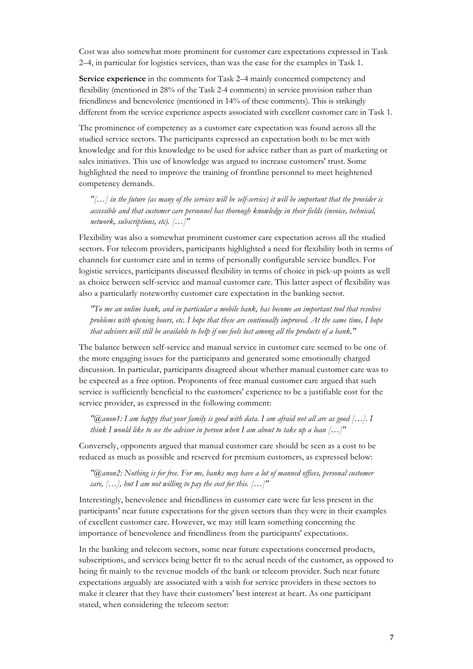Cost was also somewhat more prominent for customer care expectations expressed in Task 2–4, in particular for logistics services, than was the case for the examples in Task 1.

**Service experience** in the comments for Task 2–4 mainly concerned competency and flexibility (mentioned in 28% of the Task 2-4 comments) in service provision rather than friendliness and benevolence (mentioned in 14% of these comments). This is strikingly different from the service experience aspects associated with excellent customer care in Task 1.

The prominence of competency as a customer care expectation was found across all the studied service sectors. The participants expressed an expectation both to be met with knowledge and for this knowledge to be used for advice rather than as part of marketing or sales initiatives. This use of knowledge was argued to increase customers' trust. Some highlighted the need to improve the training of frontline personnel to meet heightened competency demands.

*"[…] in the future (as many of the services will be self-service) it will be important that the provider is accessible and that customer care personnel has thorough knowledge in their fields (invoice, technical, network, subscriptions, etc). […]"*

Flexibility was also a somewhat prominent customer care expectation across all the studied sectors. For telecom providers, participants highlighted a need for flexibility both in terms of channels for customer care and in terms of personally configurable service bundles. For logistic services, participants discussed flexibility in terms of choice in pick-up points as well as choice between self-service and manual customer care. This latter aspect of flexibility was also a particularly noteworthy customer care expectation in the banking sector.

*"To me an online bank, and in particular a mobile bank, has become an important tool that resolves problems with opening hours, etc. I hope that these are continually improved. At the same time, I hope that advisors will still be available to help if one feels lost among all the products of a bank."*

The balance between self-service and manual service in customer care seemed to be one of the more engaging issues for the participants and generated some emotionally charged discussion. In particular, participants disagreed about whether manual customer care was to be expected as a free option. Proponents of free manual customer care argued that such service is sufficiently beneficial to the customers' experience to be a justifiable cost for the service provider, as expressed in the following comment:

*"@anon1: I am happy that your family is good with data. I am afraid not all are as good […]. I think I would like to see the advisor in person when I am about to take up a loan […]"*

Conversely, opponents argued that manual customer care should be seen as a cost to be reduced as much as possible and reserved for premium customers, as expressed below:

*"@anon2: Nothing is for free. For me, banks may have a lot of manned offices, personal customer care, […], but I am not willing to pay the cost for this. […]"*

Interestingly, benevolence and friendliness in customer care were far less present in the participants' near future expectations for the given sectors than they were in their examples of excellent customer care. However, we may still learn something concerning the importance of benevolence and friendliness from the participants' expectations.

In the banking and telecom sectors, some near future expectations concerned products, subscriptions, and services being better fit to the actual needs of the customer, as opposed to being fit mainly to the revenue models of the bank or telecom provider. Such near future expectations arguably are associated with a wish for service providers in these sectors to make it clearer that they have their customers' best interest at heart. As one participant stated, when considering the telecom sector: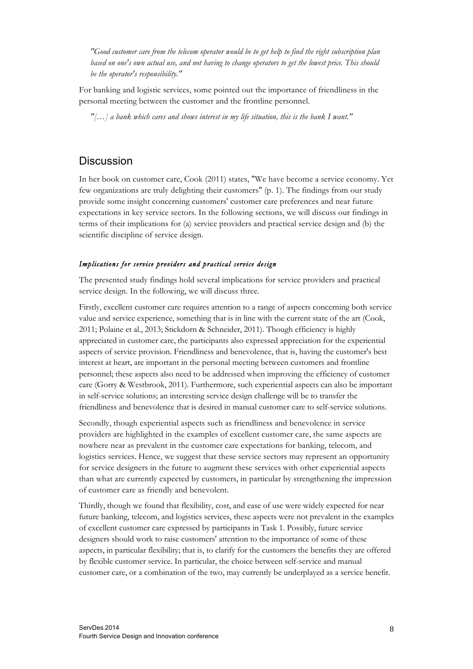*"Good customer care from the telecom operator would be to get help to find the right subscription plan based on one's own actual use, and not having to change operators to get the lowest price. This should be the operator's responsibility."*

For banking and logistic services, some pointed out the importance of friendliness in the personal meeting between the customer and the frontline personnel.

*"[…] a bank which cares and shows interest in my life situation, this is the bank I want."*

# **Discussion**

In her book on customer care, Cook (2011) states, "We have become a service economy. Yet few organizations are truly delighting their customers" (p. 1). The findings from our study provide some insight concerning customers' customer care preferences and near future expectations in key service sectors. In the following sections, we will discuss our findings in terms of their implications for (a) service providers and practical service design and (b) the scientific discipline of service design.

#### *Implications for service providers and practical service design*

The presented study findings hold several implications for service providers and practical service design. In the following, we will discuss three.

Firstly, excellent customer care requires attention to a range of aspects concerning both service value and service experience, something that is in line with the current state of the art (Cook, 2011; Polaine et al., 2013; Stickdorn & Schneider, 2011). Though efficiency is highly appreciated in customer care, the participants also expressed appreciation for the experiential aspects of service provision. Friendliness and benevolence, that is, having the customer's best interest at heart, are important in the personal meeting between customers and frontline personnel; these aspects also need to be addressed when improving the efficiency of customer care (Gorry & Westbrook, 2011). Furthermore, such experiential aspects can also be important in self-service solutions; an interesting service design challenge will be to transfer the friendliness and benevolence that is desired in manual customer care to self-service solutions.

Secondly, though experiential aspects such as friendliness and benevolence in service providers are highlighted in the examples of excellent customer care, the same aspects are nowhere near as prevalent in the customer care expectations for banking, telecom, and logistics services. Hence, we suggest that these service sectors may represent an opportunity for service designers in the future to augment these services with other experiential aspects than what are currently expected by customers, in particular by strengthening the impression of customer care as friendly and benevolent.

Thirdly, though we found that flexibility, cost, and ease of use were widely expected for near future banking, telecom, and logistics services, these aspects were not prevalent in the examples of excellent customer care expressed by participants in Task 1. Possibly, future service designers should work to raise customers' attention to the importance of some of these aspects, in particular flexibility; that is, to clarify for the customers the benefits they are offered by flexible customer service. In particular, the choice between self-service and manual customer care, or a combination of the two, may currently be underplayed as a service benefit.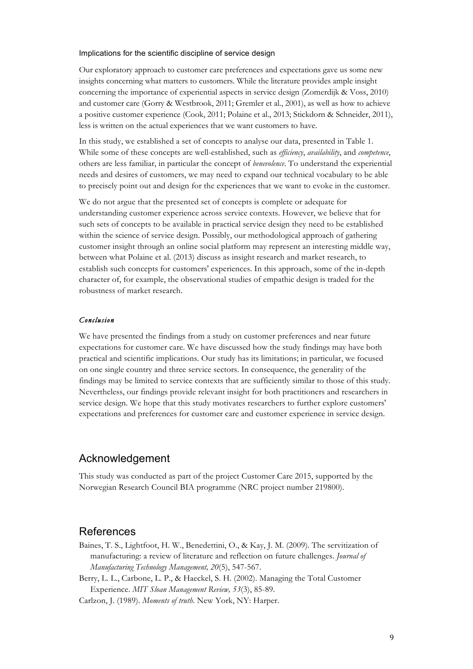#### Implications for the scientific discipline of service design

Our exploratory approach to customer care preferences and expectations gave us some new insights concerning what matters to customers. While the literature provides ample insight concerning the importance of experiential aspects in service design (Zomerdijk & Voss, 2010) and customer care (Gorry & Westbrook, 2011; Gremler et al., 2001), as well as how to achieve a positive customer experience (Cook, 2011; Polaine et al., 2013; Stickdorn & Schneider, 2011), less is written on the actual experiences that we want customers to have.

In this study, we established a set of concepts to analyse our data, presented in Table 1. While some of these concepts are well-established, such as *efficiency*, *availability*, and *competence*, others are less familiar, in particular the concept of *benevolence*. To understand the experiential needs and desires of customers, we may need to expand our technical vocabulary to be able to precisely point out and design for the experiences that we want to evoke in the customer.

We do not argue that the presented set of concepts is complete or adequate for understanding customer experience across service contexts. However, we believe that for such sets of concepts to be available in practical service design they need to be established within the science of service design. Possibly, our methodological approach of gathering customer insight through an online social platform may represent an interesting middle way, between what Polaine et al. (2013) discuss as insight research and market research, to establish such concepts for customers' experiences. In this approach, some of the in-depth character of, for example, the observational studies of empathic design is traded for the robustness of market research.

#### *Conclusion*

We have presented the findings from a study on customer preferences and near future expectations for customer care. We have discussed how the study findings may have both practical and scientific implications. Our study has its limitations; in particular, we focused on one single country and three service sectors. In consequence, the generality of the findings may be limited to service contexts that are sufficiently similar to those of this study. Nevertheless, our findings provide relevant insight for both practitioners and researchers in service design. We hope that this study motivates researchers to further explore customers' expectations and preferences for customer care and customer experience in service design.

# Acknowledgement

This study was conducted as part of the project Customer Care 2015, supported by the Norwegian Research Council BIA programme (NRC project number 219800).

## References

- Baines, T. S., Lightfoot, H. W., Benedettini, O., & Kay, J. M. (2009). The servitization of manufacturing: a review of literature and reflection on future challenges. *Journal of Manufacturing Technology Management, 20*(5), 547-567.
- Berry, L. L., Carbone, L. P., & Haeckel, S. H. (2002). Managing the Total Customer Experience. *MIT Sloan Management Review, 53*(3), 85-89.

Carlzon, J. (1989). *Moments of truth*. New York, NY: Harper.